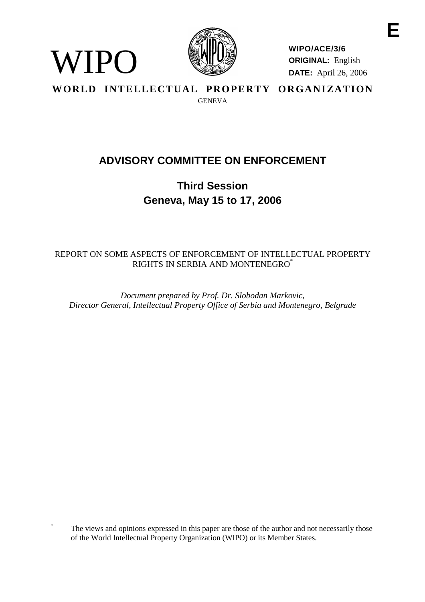

WIPO

**WIPO/ACE/3/6 ORIGINAL:** English **DATE:** April 26, 2006

WORLD INTELLECTUAL PROPERTY ORGANIZATION **GENEVA** 

# **ADVISORY COMMITTEE ON ENFORCEMENT**

**Third Session Geneva, May 15 to 17, 2006**

## REPORT ON SOME ASPECTS OF ENFORCEMENT OF INTELLECTUAL PROPERTY RIGHTS IN SERBIA AND MONTENEGRO\*

*Document prepared by Prof. Dr. Slobodan Markovic, Director General, Intellectual Property Office of Serbia and Montenegro, Belgrade*

The views and opinions expressed in this paper are those of the author and not necessarily those of the World Intellectual Property Organization (WIPO) or its Member States.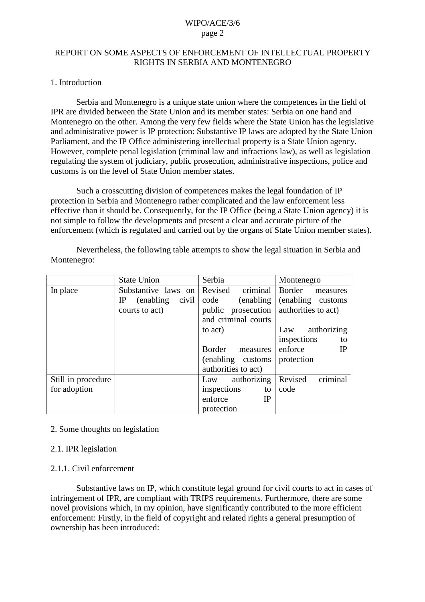## REPORT ON SOME ASPECTS OF ENFORCEMENT OF INTELLECTUAL PROPERTY RIGHTS IN SERBIA AND MONTENEGRO

## 1. Introduction

Serbia and Montenegro is a unique state union where the competences in the field of IPR are divided between the State Union and its member states: Serbia on one hand and Montenegro on the other. Among the very few fields where the State Union has the legislative and administrative power is IP protection: Substantive IP laws are adopted by the State Union Parliament, and the IP Office administering intellectual property is a State Union agency. However, complete penal legislation (criminal law and infractions law), as well as legislation regulating the system of judiciary, public prosecution, administrative inspections, police and customs is on the level of State Union member states.

Such a crosscutting division of competences makes the legal foundation of IP protection in Serbia and Montenegro rather complicated and the law enforcement less effective than it should be. Consequently, for the IP Office (being a State Union agency) it is not simple to follow the developments and present a clear and accurate picture of the enforcement (which is regulated and carried out by the organs of State Union member states).

|                    | <b>State Union</b>                 | Serbia              | Montenegro           |  |  |  |  |  |
|--------------------|------------------------------------|---------------------|----------------------|--|--|--|--|--|
| In place           | Substantive laws on                | criminal<br>Revised | Border<br>measures   |  |  |  |  |  |
|                    | (enabling)<br>$_{\rm IP}$<br>civil | code<br>(enabling)  | (enabling customs)   |  |  |  |  |  |
|                    | courts to act)                     | public prosecution  | authorities to act)  |  |  |  |  |  |
|                    |                                    | and criminal courts |                      |  |  |  |  |  |
|                    |                                    | to act)             | authorizing<br>Law   |  |  |  |  |  |
|                    |                                    |                     | inspections<br>to    |  |  |  |  |  |
|                    |                                    | Border<br>measures  | enforce<br><b>IP</b> |  |  |  |  |  |
|                    |                                    | (enabling customs)  | protection           |  |  |  |  |  |
|                    |                                    | authorities to act) |                      |  |  |  |  |  |
| Still in procedure |                                    | authorizing<br>Law  | criminal<br>Revised  |  |  |  |  |  |
| for adoption       |                                    | inspections<br>to   | code                 |  |  |  |  |  |
|                    |                                    | enforce<br>IP       |                      |  |  |  |  |  |
|                    |                                    | protection          |                      |  |  |  |  |  |

Nevertheless, the following table attempts to show the legal situation in Serbia and Montenegro:

## 2. Some thoughts on legislation

### 2.1. IPR legislation

## 2.1.1. Civil enforcement

Substantive laws on IP, which constitute legal ground for civil courts to act in cases of infringement of IPR, are compliant with TRIPS requirements. Furthermore, there are some novel provisions which, in my opinion, have significantly contributed to the more efficient enforcement: Firstly, in the field of copyright and related rights a general presumption of ownership has been introduced: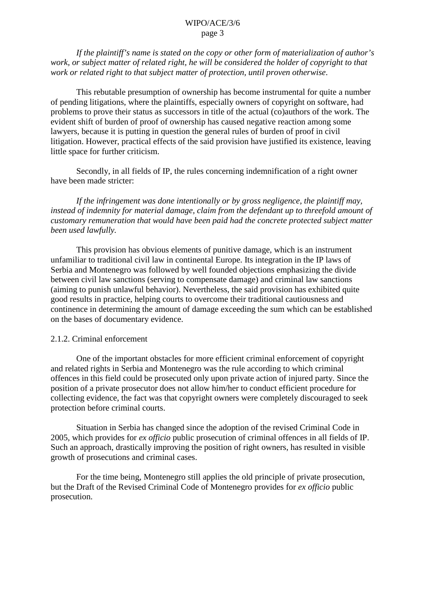*If the plaintiff's name is stated on the copy or other form of materialization of author's work, or subject matter of related right, he will be considered the holder of copyright to that work or related right to that subject matter of protection, until proven otherwise*.

This rebutable presumption of ownership has become instrumental for quite a number of pending litigations, where the plaintiffs, especially owners of copyright on software, had problems to prove their status as successors in title of the actual (co)authors of the work. The evident shift of burden of proof of ownership has caused negative reaction among some lawyers, because it is putting in question the general rules of burden of proof in civil litigation. However, practical effects of the said provision have justified its existence, leaving little space for further criticism.

Secondly, in all fields of IP, the rules concerning indemnification of a right owner have been made stricter:

*If the infringement was done intentionally or by gross negligence, the plaintiff may, instead of indemnity for material damage, claim from the defendant up to threefold amount of customary remuneration that would have been paid had the concrete protected subject matter been used lawfully.*

This provision has obvious elements of punitive damage, which is an instrument unfamiliar to traditional civil law in continental Europe. Its integration in the IP laws of Serbia and Montenegro was followed by well founded objections emphasizing the divide between civil law sanctions (serving to compensate damage) and criminal law sanctions (aiming to punish unlawful behavior). Nevertheless, the said provision has exhibited quite good results in practice, helping courts to overcome their traditional cautiousness and continence in determining the amount of damage exceeding the sum which can be established on the bases of documentary evidence.

### 2.1.2. Criminal enforcement

One of the important obstacles for more efficient criminal enforcement of copyright and related rights in Serbia and Montenegro was the rule according to which criminal offences in this field could be prosecuted only upon private action of injured party. Since the position of a private prosecutor does not allow him/her to conduct efficient procedure for collecting evidence, the fact was that copyright owners were completely discouraged to seek protection before criminal courts.

Situation in Serbia has changed since the adoption of the revised Criminal Code in 2005, which provides for *ex officio* public prosecution of criminal offences in all fields of IP. Such an approach, drastically improving the position of right owners, has resulted in visible growth of prosecutions and criminal cases.

For the time being, Montenegro still applies the old principle of private prosecution, but the Draft of the Revised Criminal Code of Montenegro provides for *ex officio* public prosecution.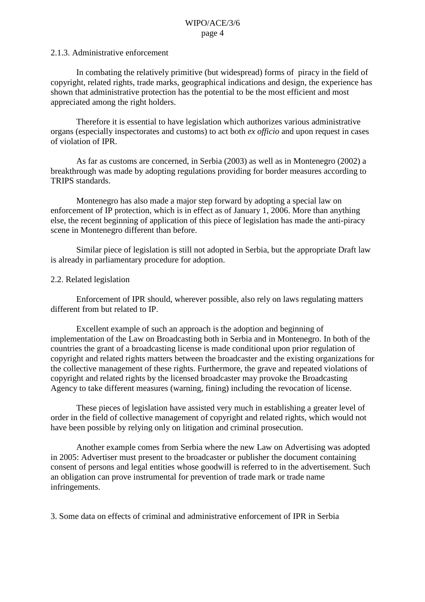#### 2.1.3. Administrative enforcement

In combating the relatively primitive (but widespread) forms of piracy in the field of copyright, related rights, trade marks, geographical indications and design, the experience has shown that administrative protection has the potential to be the most efficient and most appreciated among the right holders.

Therefore it is essential to have legislation which authorizes various administrative organs (especially inspectorates and customs) to act both *ex officio* and upon request in cases of violation of IPR.

As far as customs are concerned, in Serbia (2003) as well as in Montenegro (2002) a breakthrough was made by adopting regulations providing for border measures according to TRIPS standards.

Montenegro has also made a major step forward by adopting a special law on enforcement of IP protection, which is in effect as of January 1, 2006. More than anything else, the recent beginning of application of this piece of legislation has made the anti-piracy scene in Montenegro different than before.

Similar piece of legislation is still not adopted in Serbia, but the appropriate Draft law is already in parliamentary procedure for adoption.

#### 2.2. Related legislation

Enforcement of IPR should, wherever possible, also rely on laws regulating matters different from but related to IP.

Excellent example of such an approach is the adoption and beginning of implementation of the Law on Broadcasting both in Serbia and in Montenegro. In both of the countries the grant of a broadcasting license is made conditional upon prior regulation of copyright and related rights matters between the broadcaster and the existing organizations for the collective management of these rights. Furthermore, the grave and repeated violations of copyright and related rights by the licensed broadcaster may provoke the Broadcasting Agency to take different measures (warning, fining) including the revocation of license.

These pieces of legislation have assisted very much in establishing a greater level of order in the field of collective management of copyright and related rights, which would not have been possible by relying only on litigation and criminal prosecution.

Another example comes from Serbia where the new Law on Advertising was adopted in 2005: Advertiser must present to the broadcaster or publisher the document containing consent of persons and legal entities whose goodwill is referred to in the advertisement. Such an obligation can prove instrumental for prevention of trade mark or trade name infringements.

3. Some data on effects of criminal and administrative enforcement of IPR in Serbia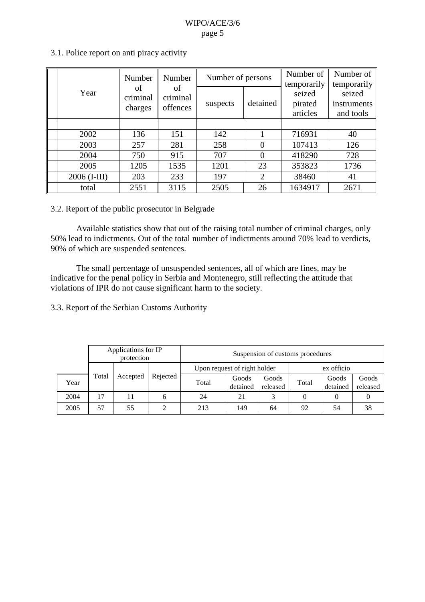| Year         | Number<br>of<br>criminal<br>charges | Number<br>of<br>criminal<br>offences | Number of persons |                | Number of<br>temporarily      | Number of<br>temporarily           |
|--------------|-------------------------------------|--------------------------------------|-------------------|----------------|-------------------------------|------------------------------------|
|              |                                     |                                      | suspects          | detained       | seized<br>pirated<br>articles | seized<br>instruments<br>and tools |
|              |                                     |                                      |                   |                |                               |                                    |
| 2002         | 136                                 | 151                                  | 142               |                | 716931                        | 40                                 |
| 2003         | 257                                 | 281                                  | 258               | $\Omega$       | 107413                        | 126                                |
| 2004         | 750                                 | 915                                  | 707               | $\Omega$       | 418290                        | 728                                |
| 2005         | 1205                                | 1535                                 | 1201              | 23             | 353823                        | 1736                               |
| 2006 (I-III) | 203                                 | 233                                  | 197               | $\overline{2}$ | 38460                         | 41                                 |
| total        | 2551                                | 3115                                 | 2505              | 26             | 1634917                       | 2671                               |

## 3.1. Police report on anti piracy activity

## 3.2. Report of the public prosecutor in Belgrade

Available statistics show that out of the raising total number of criminal charges, only 50% lead to indictments. Out of the total number of indictments around 70% lead to verdicts, 90% of which are suspended sentences.

The small percentage of unsuspended sentences, all of which are fines, may be indicative for the penal policy in Serbia and Montenegro, still reflecting the attitude that violations of IPR do not cause significant harm to the society.

3.3. Report of the Serbian Customs Authority

|      | Applications for IP<br>protection |          |          | Suspension of customs procedures |                   |                   |            |                   |                   |
|------|-----------------------------------|----------|----------|----------------------------------|-------------------|-------------------|------------|-------------------|-------------------|
|      |                                   |          |          | Upon request of right holder     |                   |                   | ex officio |                   |                   |
| Year | Total                             | Accepted | Rejected | Total                            | Goods<br>detained | Goods<br>released | Total      | Goods<br>detained | Goods<br>released |
| 2004 | 17                                |          | 6        | 24                               | 21                | 3                 |            |                   |                   |
| 2005 | 57                                | 55       |          | 213                              | 149               | 64                | 92         | 54                | 38                |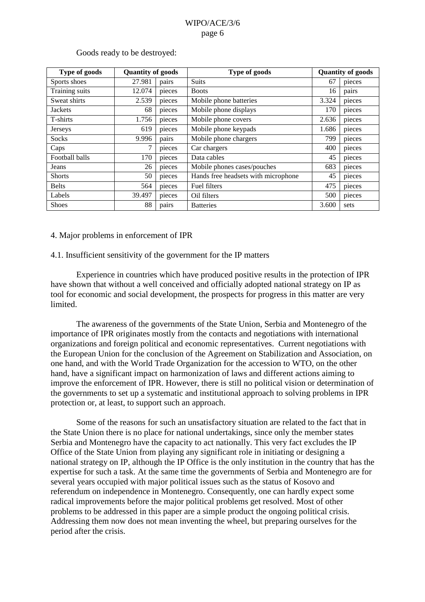| Type of goods  | <b>Quantity of goods</b> |        | Type of goods                       | <b>Quantity of goods</b> |        |
|----------------|--------------------------|--------|-------------------------------------|--------------------------|--------|
| Sports shoes   | 27.981                   | pairs  | <b>Suits</b>                        | 67                       | pieces |
| Training suits | 12.074                   | pieces | <b>Boots</b>                        | 16                       | pairs  |
| Sweat shirts   | 2.539                    | pieces | Mobile phone batteries              | 3.324                    | pieces |
| <b>Jackets</b> | 68                       | pieces | Mobile phone displays               | 170                      | pieces |
| T-shirts       | 1.756                    | pieces | Mobile phone covers                 | 2.636                    | pieces |
| <b>Jerseys</b> | 619                      | pieces | Mobile phone keypads                | 1.686                    | pieces |
| <b>Socks</b>   | 9.996                    | pairs  | Mobile phone chargers               | 799                      | pieces |
| Caps           | 7                        | pieces | Car chargers                        | 400                      | pieces |
| Football balls | 170                      | pieces | Data cables                         | 45                       | pieces |
| Jeans          | 26                       | pieces | Mobile phones cases/pouches         | 683                      | pieces |
| <b>Shorts</b>  | 50                       | pieces | Hands free headsets with microphone | 45                       | pieces |
| <b>Belts</b>   | 564                      | pieces | Fuel filters                        | 475                      | pieces |
| Labels         | 39.497                   | pieces | Oil filters                         | 500                      | pieces |
| <b>Shoes</b>   | 88                       | pairs  | <b>Batteries</b>                    | 3.600                    | sets   |

### Goods ready to be destroyed:

### 4. Major problems in enforcement of IPR

## 4.1. Insufficient sensitivity of the government for the IP matters

Experience in countries which have produced positive results in the protection of IPR have shown that without a well conceived and officially adopted national strategy on IP as tool for economic and social development, the prospects for progress in this matter are very limited.

The awareness of the governments of the State Union, Serbia and Montenegro of the importance of IPR originates mostly from the contacts and negotiations with international organizations and foreign political and economic representatives. Current negotiations with the European Union for the conclusion of the Agreement on Stabilization and Association, on one hand, and with the World Trade Organization for the accession to WTO, on the other hand, have a significant impact on harmonization of laws and different actions aiming to improve the enforcement of IPR. However, there is still no political vision or determination of the governments to set up a systematic and institutional approach to solving problems in IPR protection or, at least, to support such an approach.

Some of the reasons for such an unsatisfactory situation are related to the fact that in the State Union there is no place for national undertakings, since only the member states Serbia and Montenegro have the capacity to act nationally. This very fact excludes the IP Office of the State Union from playing any significant role in initiating or designing a national strategy on IP, although the IP Office is the only institution in the country that has the expertise for such a task. At the same time the governments of Serbia and Montenegro are for several years occupied with major political issues such as the status of Kosovo and referendum on independence in Montenegro. Consequently, one can hardly expect some radical improvements before the major political problems get resolved. Most of other problems to be addressed in this paper are a simple product the ongoing political crisis. Addressing them now does not mean inventing the wheel, but preparing ourselves for the period after the crisis.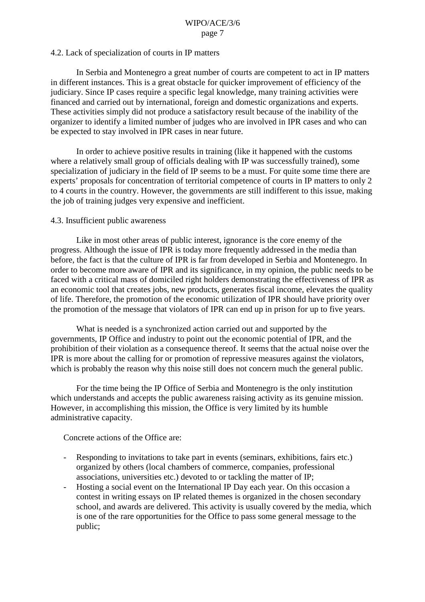### 4.2. Lack of specialization of courts in IP matters

In Serbia and Montenegro a great number of courts are competent to act in IP matters in different instances. This is a great obstacle for quicker improvement of efficiency of the judiciary. Since IP cases require a specific legal knowledge, many training activities were financed and carried out by international, foreign and domestic organizations and experts. These activities simply did not produce a satisfactory result because of the inability of the organizer to identify a limited number of judges who are involved in IPR cases and who can be expected to stay involved in IPR cases in near future.

In order to achieve positive results in training (like it happened with the customs where a relatively small group of officials dealing with IP was successfully trained), some specialization of judiciary in the field of IP seems to be a must. For quite some time there are experts' proposals for concentration of territorial competence of courts in IP matters to only 2 to 4 courts in the country. However, the governments are still indifferent to this issue, making the job of training judges very expensive and inefficient.

#### 4.3. Insufficient public awareness

Like in most other areas of public interest, ignorance is the core enemy of the progress. Although the issue of IPR is today more frequently addressed in the media than before, the fact is that the culture of IPR is far from developed in Serbia and Montenegro. In order to become more aware of IPR and its significance, in my opinion, the public needs to be faced with a critical mass of domiciled right holders demonstrating the effectiveness of IPR as an economic tool that creates jobs, new products, generates fiscal income, elevates the quality of life. Therefore, the promotion of the economic utilization of IPR should have priority over the promotion of the message that violators of IPR can end up in prison for up to five years.

What is needed is a synchronized action carried out and supported by the governments, IP Office and industry to point out the economic potential of IPR, and the prohibition of their violation as a consequence thereof. It seems that the actual noise over the IPR is more about the calling for or promotion of repressive measures against the violators, which is probably the reason why this noise still does not concern much the general public.

For the time being the IP Office of Serbia and Montenegro is the only institution which understands and accepts the public awareness raising activity as its genuine mission. However, in accomplishing this mission, the Office is very limited by its humble administrative capacity.

Concrete actions of the Office are:

- Responding to invitations to take part in events (seminars, exhibitions, fairs etc.) organized by others (local chambers of commerce, companies, professional associations, universities etc.) devoted to or tackling the matter of IP;
- Hosting a social event on the International IP Day each year. On this occasion a contest in writing essays on IP related themes is organized in the chosen secondary school, and awards are delivered. This activity is usually covered by the media, which is one of the rare opportunities for the Office to pass some general message to the public;